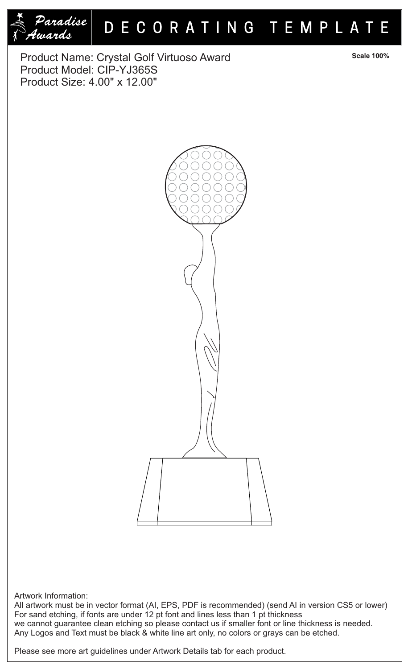

## DECORATING TEMPLATE

Product Name: Crystal Golf Virtuoso Award Product Model: CIP-YJ365S Product Size: 4.00" x 12.00"



**Scale 100%** 



## Artwork Information:

All artwork must be in vector format (AI, EPS, PDF is recommended) (send AI in version CS5 or lower) For sand etching, if fonts are under 12 pt font and lines less than 1 pt thickness we cannot guarantee clean etching so please contact us if smaller font or line thickness is needed. Any Logos and Text must be black & white line art only, no colors or grays can be etched.

Please see more art guidelines under Artwork Details tab for each product.